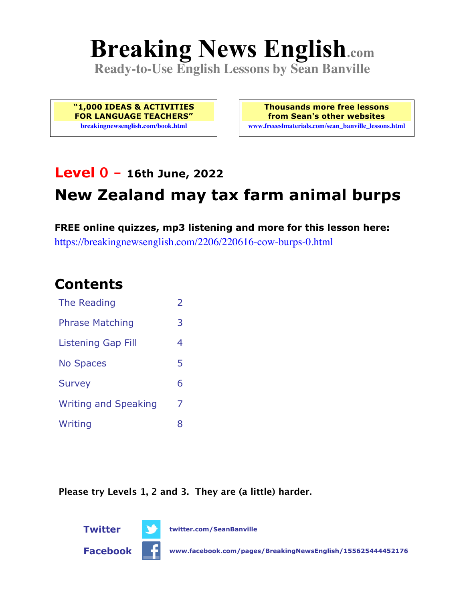# **Breaking News English.com**

**Ready-to-Use English Lessons by Sean Banville**

**"1,000 IDEAS & ACTIVITIES FOR LANGUAGE TEACHERS" breakingnewsenglish.com/book.html**

**Thousands more free lessons from Sean's other websites www.freeeslmaterials.com/sean\_banville\_lessons.html**

### **Level 0 - 16th June, 2022**

# **New Zealand may tax farm animal burps**

**FREE online quizzes, mp3 listening and more for this lesson here:** https://breakingnewsenglish.com/2206/220616-cow-burps-0.html

### **Contents**

| The Reading                 | $\overline{2}$ |
|-----------------------------|----------------|
| <b>Phrase Matching</b>      | 3              |
| <b>Listening Gap Fill</b>   | 4              |
| <b>No Spaces</b>            | 5              |
| <b>Survey</b>               | 6              |
| <b>Writing and Speaking</b> | 7              |
| Writing                     | 8              |

**Please try Levels 1, 2 and 3. They are (a little) harder.**



**Twitter twitter.com/SeanBanville**

**Facebook www.facebook.com/pages/BreakingNewsEnglish/155625444452176**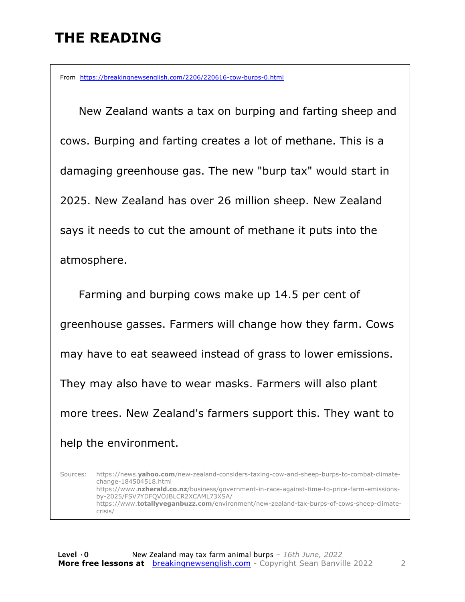# **THE READING**

From https://breakingnewsenglish.com/2206/220616-cow-burps-0.html

 New Zealand wants a tax on burping and farting sheep and cows. Burping and farting creates a lot of methane. This is a damaging greenhouse gas. The new "burp tax" would start in 2025. New Zealand has over 26 million sheep. New Zealand says it needs to cut the amount of methane it puts into the atmosphere.

 Farming and burping cows make up 14.5 per cent of greenhouse gasses. Farmers will change how they farm. Cows may have to eat seaweed instead of grass to lower emissions. They may also have to wear masks. Farmers will also plant more trees. New Zealand's farmers support this. They want to help the environment.

Sources: https://news.**yahoo.com**/new-zealand-considers-taxing-cow-and-sheep-burps-to-combat-climatechange-184504518.html https://www.**nzherald.co.nz**/business/government-in-race-against-time-to-price-farm-emissionsby-2025/FSV7YDFQVOJBLCR2XCAML73XSA/ https://www.**totallyveganbuzz.com**/environment/new-zealand-tax-burps-of-cows-sheep-climatecrisis/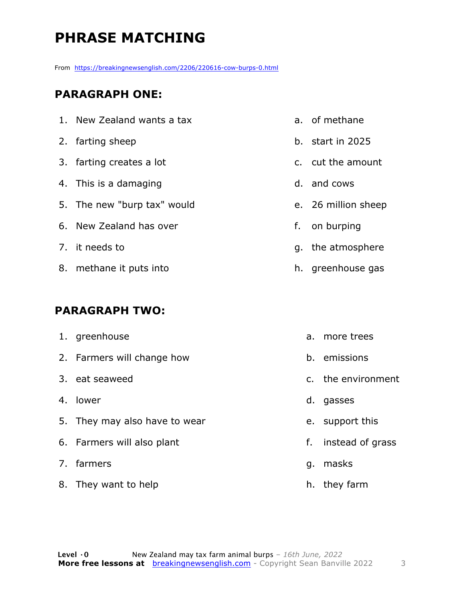# **PHRASE MATCHING**

From https://breakingnewsenglish.com/2206/220616-cow-burps-0.html

#### **PARAGRAPH ONE:**

1. New Zealand wants a tax 2. farting sheep 3. farting creates a lot 4. This is a damaging 5. The new "burp tax" would 6. New Zealand has over 7. it needs to 8. methane it puts into

#### **PARAGRAPH TWO:**

| 1. greenhouse                 |    | a. more trees      |
|-------------------------------|----|--------------------|
| 2. Farmers will change how    |    | b. emissions       |
| 3. eat seaweed                |    | c. the environment |
| 4. lower                      |    | d. gasses          |
| 5. They may also have to wear |    | e. support this    |
| 6. Farmers will also plant    | f. | instead of grass   |
| 7. farmers                    | q. | masks              |
| 8. They want to help          |    | h. they farm       |

- a. of methane
- b. start in 2025
- c. cut the amount
- d. and cows
- e. 26 million sheep
- f. on burping
- g. the atmosphere
- h. greenhouse gas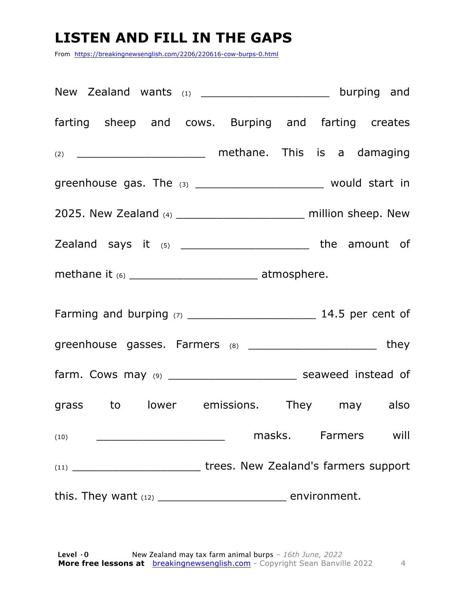# **LISTEN AND FILL IN THE GAPS**

From https://breakingnewsenglish.com/2206/220616-cow-burps-0.html

| New Zealand wants (1) _______________________ burping and                                                                                            |  |
|------------------------------------------------------------------------------------------------------------------------------------------------------|--|
| farting sheep and cows. Burping and farting creates                                                                                                  |  |
| (2) _____________________________ methane. This is a damaging                                                                                        |  |
| greenhouse gas. The $(3)$ ________________________ would start in                                                                                    |  |
| 2025. New Zealand (4) _________________________ million sheep. New                                                                                   |  |
| Zealand says it (5) __________________________ the amount of                                                                                         |  |
| methane it (6) _________________________________ atmosphere.                                                                                         |  |
|                                                                                                                                                      |  |
| greenhouse gasses. Farmers (8) _________________________ they                                                                                        |  |
| farm. Cows may (9) __________________________ seaweed instead of                                                                                     |  |
| grass to lower emissions. They may also                                                                                                              |  |
| masks. Farmers will<br>(10)<br><u> 1980 - Johann Barn, mars andrew Maria Barn, mars andrew Maria Barn, mars andrew Maria Barn, mars andrew Maria</u> |  |
|                                                                                                                                                      |  |
|                                                                                                                                                      |  |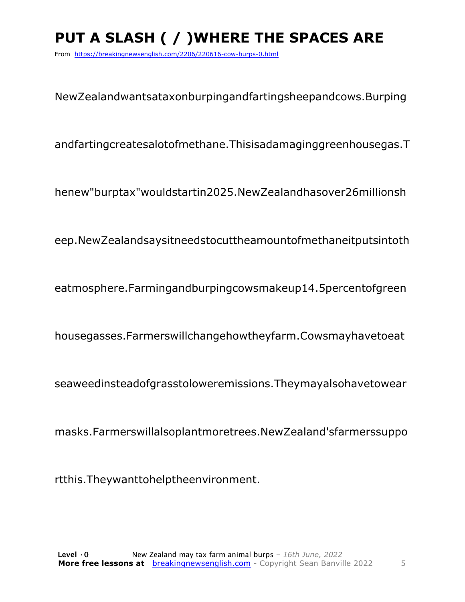# **PUT A SLASH ( / )WHERE THE SPACES ARE**

From https://breakingnewsenglish.com/2206/220616-cow-burps-0.html

NewZealandwantsataxonburpingandfartingsheepandcows.Burping

andfartingcreatesalotofmethane.Thisisadamaginggreenhousegas.T

henew"burptax"wouldstartin2025.NewZealandhasover26millionsh

eep.NewZealandsaysitneedstocuttheamountofmethaneitputsintoth

eatmosphere.Farmingandburpingcowsmakeup14.5percentofgreen

housegasses.Farmerswillchangehowtheyfarm.Cowsmayhavetoeat

seaweedinsteadofgrasstoloweremissions.Theymayalsohavetowear

masks.Farmerswillalsoplantmoretrees.NewZealand'sfarmerssuppo

rtthis.Theywanttohelptheenvironment.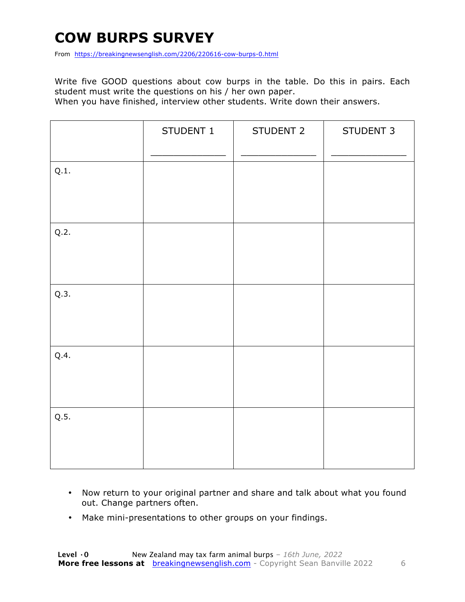# **COW BURPS SURVEY**

From https://breakingnewsenglish.com/2206/220616-cow-burps-0.html

Write five GOOD questions about cow burps in the table. Do this in pairs. Each student must write the questions on his / her own paper.

When you have finished, interview other students. Write down their answers.

|      | STUDENT 1 | STUDENT 2 | STUDENT 3 |
|------|-----------|-----------|-----------|
| Q.1. |           |           |           |
| Q.2. |           |           |           |
| Q.3. |           |           |           |
| Q.4. |           |           |           |
| Q.5. |           |           |           |

- Now return to your original partner and share and talk about what you found out. Change partners often.
- Make mini-presentations to other groups on your findings.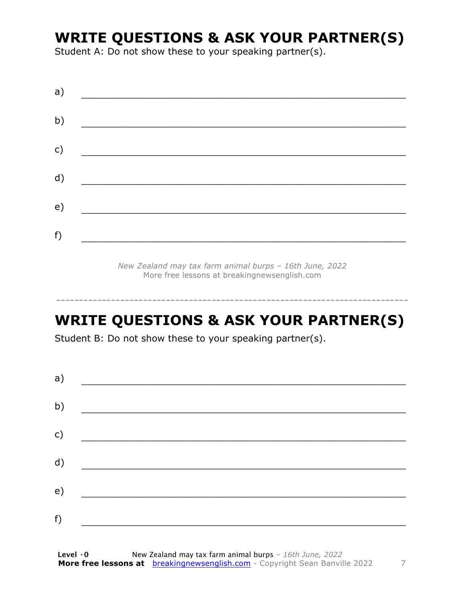### **WRITE QUESTIONS & ASK YOUR PARTNER(S)**

Student A: Do not show these to your speaking partner(s).

| a) |  |  |
|----|--|--|
| b) |  |  |
| c) |  |  |
| d) |  |  |
| e) |  |  |
| f) |  |  |

*New Zealand may tax farm animal burps – 16th June, 2022* More free lessons at breakingnewsenglish.com

# **WRITE QUESTIONS & ASK YOUR PARTNER(S)**

-----------------------------------------------------------------------------

Student B: Do not show these to your speaking partner(s).

| a) |  |  |
|----|--|--|
| b) |  |  |
| c) |  |  |
| d) |  |  |
| e) |  |  |
| f) |  |  |
|    |  |  |